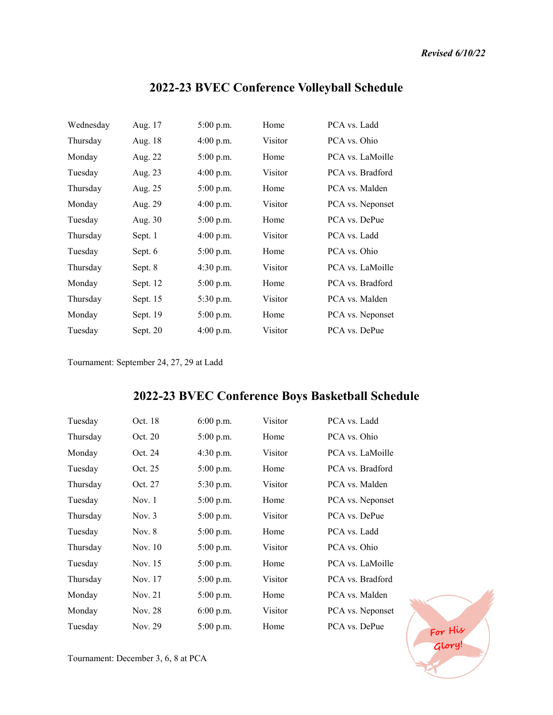**Glory!**

| Wednesday | Aug. 17  | $5:00$ p.m. | Home    | PCA vs. Ladd     |
|-----------|----------|-------------|---------|------------------|
| Thursday  | Aug. 18  | $4:00$ p.m. | Visitor | PCA vs. Ohio     |
| Monday    | Aug. 22  | $5:00$ p.m. | Home    | PCA vs. LaMoille |
| Tuesday   | Aug. 23  | $4:00$ p.m. | Visitor | PCA vs. Bradford |
| Thursday  | Aug. 25  | $5:00$ p.m. | Home    | PCA vs. Malden   |
| Monday    | Aug. 29  | $4:00$ p.m. | Visitor | PCA vs. Neponset |
| Tuesday   | Aug. 30  | $5:00$ p.m. | Home    | PCA vs. DePue    |
| Thursday  | Sept. 1  | $4:00$ p.m. | Visitor | PCA vs. Ladd     |
| Tuesday   | Sept. 6  | $5:00$ p.m. | Home    | PCA vs. Ohio     |
| Thursday  | Sept. 8  | $4:30$ p.m. | Visitor | PCA vs. LaMoille |
| Monday    | Sept. 12 | $5:00$ p.m. | Home    | PCA vs. Bradford |
| Thursday  | Sept. 15 | $5:30$ p.m. | Visitor | PCA vs. Malden   |
| Monday    | Sept. 19 | $5:00$ p.m. | Home    | PCA vs. Neponset |
| Tuesday   | Sept. 20 | $4:00$ p.m. | Visitor | PCA vs. DePue    |
|           |          |             |         |                  |

## **2022-23 BVEC Conference Volleyball Schedule**

Tournament: September 24, 27, 29 at Ladd

## **2022-23 BVEC Conference Boys Basketball Schedule**

| Tuesday  | Oct. 18  | $6:00$ p.m. | Visitor | PCA vs. Ladd             |
|----------|----------|-------------|---------|--------------------------|
| Thursday | Oct. 20  | $5:00$ p.m. | Home    | PCA vs. Ohio             |
| Monday   | Oct. 24  | $4:30$ p.m. | Visitor | PCA vs. LaMoille         |
| Tuesday  | Oct. 25  | $5:00$ p.m. | Home    | PCA vs. Bradford         |
| Thursday | Oct. 27  | 5:30 p.m.   | Visitor | PCA vs. Malden           |
| Tuesday  | Nov. 1   | $5:00$ p.m. | Home    | PCA vs. Neponset         |
| Thursday | Nov. $3$ | $5:00$ p.m. | Visitor | PCA vs. DePue            |
| Tuesday  | Nov. $8$ | $5:00$ p.m. | Home    | PCA vs. Ladd             |
| Thursday | Nov. 10  | $5:00$ p.m. | Visitor | PCA vs. Ohio             |
| Tuesday  | Nov. 15  | $5:00$ p.m. | Home    | PCA vs. LaMoille         |
| Thursday | Nov. 17  | $5:00$ p.m. | Visitor | PCA vs. Bradford         |
| Monday   | Nov. 21  | $5:00$ p.m. | Home    | PCA vs. Malden           |
| Monday   | Nov. 28  | $6:00$ p.m. | Visitor | PCA vs. Neponset         |
| Tuesday  | Nov. 29  | $5:00$ p.m. | Home    | PCA vs. DePue<br>For His |
|          |          |             |         |                          |

Tournament: December 3, 6, 8 at PCA